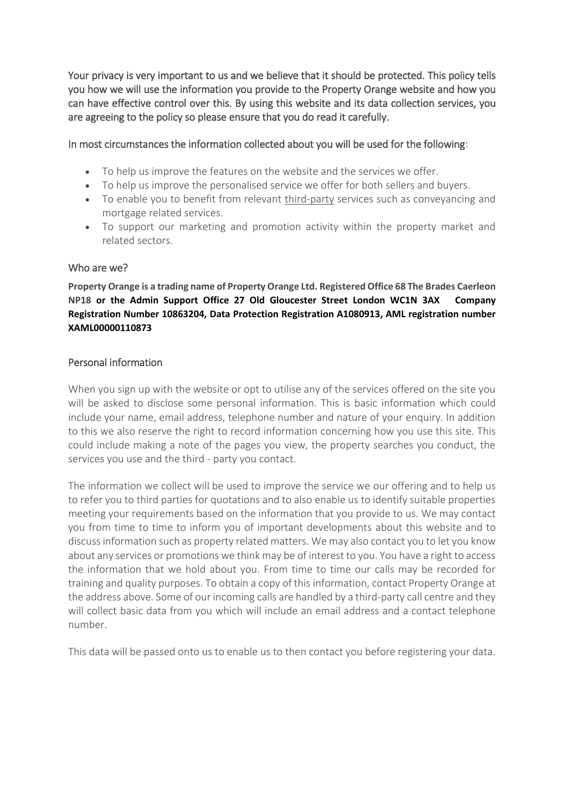Your privacy is very important to us and we believe that it should be protected. This policy tells you how we will use the information you provide to the Property Orange website and how you can have effective control over this. By using this website and its data collection services, you are agreeing to the policy so please ensure that you do read it carefully.

In most circumstances the information collected about you will be used for the following:

- To help us improve the features on the website and the services we offer.
- To help us improve the personalised service we offer for both sellers and buyers.
- To enable you to benefit from relevant third-party services such as conveyancing and mortgage related services.
- To support our marketing and promotion activity within the property market and related sectors.

# Who are we?

**Property Orange is a trading name of Property Orange Ltd. Registered Office 68 The Brades Caerleon NP18 or the Admin Support Office 27 Old Gloucester Street London WC1N 3AX Company Registration Number 10863204, Data Protection Registration A1080913, AML registration number XAML00000110873**

# Personal information

When you sign up with the website or opt to utilise any of the services offered on the site you will be asked to disclose some personal information. This is basic information which could include your name, email address, telephone number and nature of your enquiry. In addition to this we also reserve the right to record information concerning how you use this site. This could include making a note of the pages you view, the property searches you conduct, the services you use and the third - party you contact.

The information we collect will be used to improve the service we our offering and to help us to refer you to third parties for quotations and to also enable us to identify suitable properties meeting your requirements based on the information that you provide to us. We may contact you from time to time to inform you of important developments about this website and to discuss information such as property related matters. We may also contact you to let you know about any services or promotions we think may be of interest to you. You have a right to access the information that we hold about you. From time to time our calls may be recorded for training and quality purposes. To obtain a copy of this information, contact Property Orange at the address above. Some of our incoming calls are handled by a third-party call centre and they will collect basic data from you which will include an email address and a contact telephone number.

This data will be passed onto us to enable us to then contact you before registering your data.